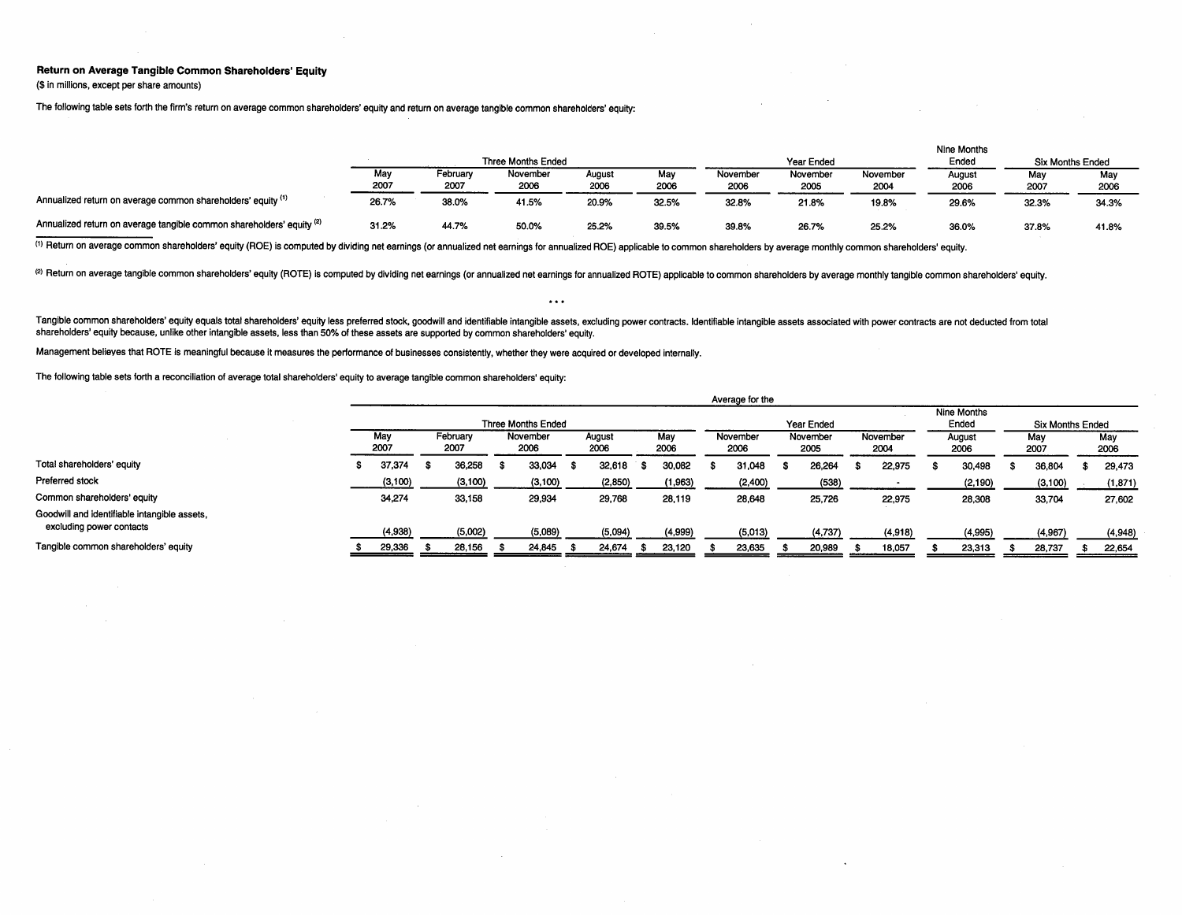## Return on Average Tangible Common Shareholders' Equity

(\$ in milions, except per share amounts)

The following table sets forth the firm's return on average common shareholders' equity and return on average tangible common shareholders' equity:

|                                                                       |             |                  |                           |                |             |                  |                  |                  | Nine Months    |                  |             |
|-----------------------------------------------------------------------|-------------|------------------|---------------------------|----------------|-------------|------------------|------------------|------------------|----------------|------------------|-------------|
|                                                                       |             |                  | <b>Three Months Ended</b> |                |             |                  | Year Ended       |                  | Ended          | Six Months Ended |             |
|                                                                       | Mav<br>2007 | Februarv<br>2007 | November<br>2006          | August<br>2006 | Mav<br>2006 | November<br>2006 | November<br>2005 | November<br>2004 | August<br>2006 | May<br>2007      | Mav<br>2006 |
| Annualized return on average common shareholders' equity (1)          | 26.7%       | 38.0%            | 41.5%                     | 20.9%          | 32.5%       | 32.8%            | 21.8%            | 19.8%            | 29.6%          | 32.3%            | 34.3%       |
| Annualized return on average tangible common shareholders' equity (2) | 31.2%       | 44.7%            | 50.0%                     | 25.2%          | 39.5%       | 39.8%            | 26.7%            | 25.2%            | 36.0%          | 37.8%            | 41.8%       |

(1) Return on average common shareholders' equity (ROE) is computed by dividing net earnings (or annualized net earnings for annualized ROE) applicable to common shareholders by average monthly common shareholders' equity.

(2) Return on average tangible common shareholders' equity (ROTE) is computed by dividing net earnings (or annualized net earnings for annualized ROTE) applicable to common shareholders by average monthly tangible common s

Tangible common shareholders' equity equals total shareholders' equity less preferred stock, goodwill and identifiable intangible assets, excluding power contracts. Identifiable intangible assets associated with power cont shareholders' equity because, unlike other intangible assets, less than 50% of these assets are supported by common shareholders' equity.

 $\cdots$ 

Management believes that ROTE is meaningful because it measures the performance of businesses consistently, whether they were acquired or developed internally.

The following table sets forth a reconcilation of average total shareholders' equity to average tangible common shareholders' equity:

|                                                                          | <b>Avelaye</b> IVI LIE |  |                          |  |                  |      |                       |      |                  |  |                  |  |                  |  |                |  |                      |                         |         |             |          |  |
|--------------------------------------------------------------------------|------------------------|--|--------------------------|--|------------------|------|-----------------------|------|------------------|--|------------------|--|------------------|--|----------------|--|----------------------|-------------------------|---------|-------------|----------|--|
|                                                                          | Three Months Ended     |  |                          |  |                  |      |                       |      |                  |  |                  |  | Year Ended       |  |                |  | Nine Months<br>Ended | <b>Six Months Ended</b> |         |             |          |  |
|                                                                          | May<br>2007            |  | February<br>2007<br>2006 |  | November<br>2006 |      | May<br>August<br>2006 |      | November<br>2006 |  | November<br>2005 |  | November<br>2004 |  | August<br>2006 |  | May<br>2007          |                         |         | May<br>2006 |          |  |
| Total shareholders' equity                                               | 37,374                 |  | 36,258                   |  | 33,034           | - 56 | 32.618                | - 75 | 30,082           |  | 31.048           |  | 26,264           |  | 22.975         |  | 30,498               |                         | 36,804  |             | 29,473   |  |
| Preferred stock                                                          | (3, 100)               |  | (3, 100)                 |  | (3, 100)         |      | (2,850)               |      | (1,963)          |  | (2,400)          |  | (538)            |  |                |  | (2, 190)             |                         | (3,100) |             | (1, 871) |  |
| Common shareholders' equity                                              | 34,274                 |  | 33,158                   |  | 29,934           |      | 29,768                |      | 28,119           |  | 28,648           |  | 25,726           |  | 22,975         |  | 28,308               |                         | 33,704  |             | 27,602   |  |
| Goodwill and identifiable intangible assets,<br>excluding power contacts | (4.938)                |  | (5,002)                  |  | (5,089)          |      | (5,094)               |      | (4,999)          |  | (5,013)          |  | (4,737)          |  | (4, 918)       |  | (4,995)              |                         | (4,967) |             | (4,948)  |  |
| Tangible common shareholders' equity                                     | 29,336                 |  | 28.156                   |  | 24,845           |      | 24.674                | - 25 | 23,120           |  | 23,635           |  | 20,989           |  | 18,057         |  | 23,313               |                         | 28.737  |             | 22,654   |  |

Average for the

 $\sim$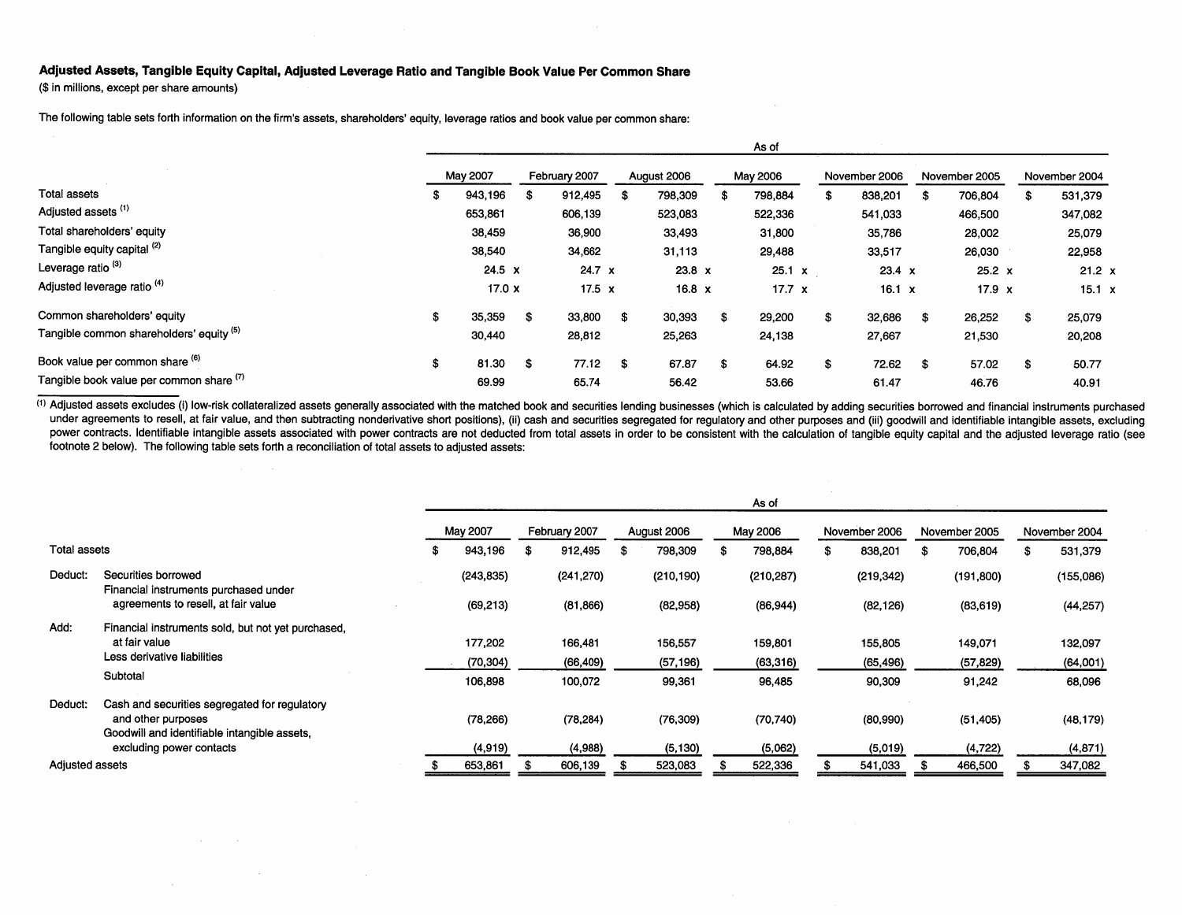## Adjusted Assets, Tangible Equity Capital, Adjusted Leverage Ratio and Tangible Book Value Per Common Share

(\$ in millions, except per share amounts)

 $\mathcal{A}(\mathcal{A})$  and  $\mathcal{A}(\mathcal{A})$  .

 $\sim 10$ 

The following table sets forth information on the firm's assets, shareholders' equity, leverage ratios and book value per common share:

|                                          |    | As of         |     |               |      |               |     |               |    |               |     |               |     |               |
|------------------------------------------|----|---------------|-----|---------------|------|---------------|-----|---------------|----|---------------|-----|---------------|-----|---------------|
|                                          |    | May 2007      |     |               |      | August 2006   |     | May 2006      |    | November 2006 |     | November 2005 |     | November 2004 |
| Total assets                             | S  | 943,196       | -56 | 912.495       | £.   | 798,309       |     | 798,884       |    | 838,201       | -S  | 706,804       | -56 | 531,379       |
| Adjusted assets <sup>(1)</sup>           |    | 653,861       |     | 606,139       |      | 523,083       |     | 522,336       |    | 541,033       |     | 466,500       |     | 347,082       |
| Total shareholders' equity               |    | 38,459        |     | 36,900        |      | 33,493        |     | 31,800        |    | 35,786        |     | 28,002        |     | 25,079        |
| Tangible equity capital (2)              |    | 38,540        |     | 34,662        |      | 31,113        |     | 29,488        |    | 33,517        |     | 26,030        |     | 22,958        |
| Leverage ratio <sup>(3)</sup>            |    | $24.5 \times$ |     | $24.7 \times$ |      | $23.8 \times$ |     | $25.1 \times$ |    | 23.4 x        |     | $25.2 \times$ |     | $21.2 \times$ |
| Adjusted leverage ratio <sup>(4)</sup>   |    | 17.0 x        |     | 17.5 $\times$ |      | $16.8 \times$ |     | $17.7 \times$ |    | 16.1 $x$      |     | 17.9 $x$      |     | $15.1 \times$ |
| Common shareholders' equity              | S  | 35,359        | \$  | 33,800        | -\$  | 30,393        |     | 29,200        | \$ | 32,686        | \$. | 26,252        | \$  | 25,079        |
| Tangible common shareholders' equity (5) |    | 30,440        |     | 28,812        |      | 25,263        |     | 24,138        |    | 27,667        |     | 21,530        |     | 20,208        |
| Book value per common share (6)          | \$ | 81.30         | \$  | 77.12         | - \$ | 67.87         | \$. | 64.92         | S  | 72.62         | -\$ | 57.02         | \$  | 50.77         |
| Tangible book value per common share (7) |    | 69.99         |     | 65.74         |      | 56.42         |     | 53.66         |    | 61.47         |     | 46.76         |     | 40.91         |

 $\omega_{\rm{max}}$  .

(1) Adjusted assets excludes (i) low-risk collateralized assets generally associated with the matched book and securities lending businesses (which is calculated by adding securities borrowed and financial instruments purc under agreements to resell, at fair value, and then subtracting nonderivative short positions), (ii) cash and securities segregated for regulatory and other purposes and (iii) goodwill and identifiable intangible assets, e power contracts. Identifiable intangible assets associated with power contracts are not deducted from total assets in order to be consistent with the calculation of tangible equity capital and the adjusted leverage ratio ( footnote 2 below). The following table sets forth a reconciliation of total assets to adjusted assets:

|                 |                                                                                                                     | As of |            |               |            |             |            |          |            |               |            |               |            |               |
|-----------------|---------------------------------------------------------------------------------------------------------------------|-------|------------|---------------|------------|-------------|------------|----------|------------|---------------|------------|---------------|------------|---------------|
|                 |                                                                                                                     |       | May 2007   | February 2007 |            | August 2006 |            | May 2006 |            | November 2006 |            | November 2005 |            | November 2004 |
| Total assets    |                                                                                                                     |       | 943,196    | S             | 912,495    |             | 798,309    |          | 798,884    |               | 838,201    |               | 706,804    | 531,379       |
| Deduct:         | Securities borrowed<br>Financial instruments purchased under                                                        |       | (243, 835) |               | (241, 270) |             | (210, 190) |          | (210, 287) |               | (219, 342) |               | (191, 800) | (155,086)     |
|                 | agreements to resell, at fair value                                                                                 |       | (69, 213)  |               | (81, 866)  |             | (82,958)   |          | (86, 944)  |               | (82, 126)  |               | (83, 619)  | (44, 257)     |
| Add:            | Financial instruments sold, but not yet purchased,                                                                  |       |            |               |            |             |            |          |            |               |            |               |            |               |
|                 | at fair value                                                                                                       |       | 177,202    |               | 166,481    |             | 156,557    |          | 159,801    |               | 155,805    |               | 149,071    | 132,097       |
|                 | Less derivative liabilities                                                                                         |       | (70,304)   |               | (66, 409)  |             | (57, 196)  |          | (63, 316)  |               | (65, 496)  |               | (57, 829)  | (64,001)      |
|                 | Subtotal                                                                                                            |       | 106,898    |               | 100,072    |             | 99,361     |          | 96,485     |               | 90,309     |               | 91,242     | 68,096        |
| Deduct:         | Cash and securities segregated for regulatory<br>and other purposes<br>Goodwill and identifiable intangible assets, |       | (78, 266)  |               | (78, 284)  |             | (76, 309)  |          | (70, 740)  |               | (80,990)   |               | (51, 405)  | (48, 179)     |
|                 | excluding power contacts                                                                                            |       | (4,919)    |               | (4,988)    |             | (5, 130)   |          | (5,062)    |               | (5,019)    |               | (4, 722)   | (4, 871)      |
| Adjusted assets |                                                                                                                     |       | 653,861    |               | 606,139    |             | 523,083    |          | 522,336    |               | 541,033    |               | 466,500    | 347,082       |